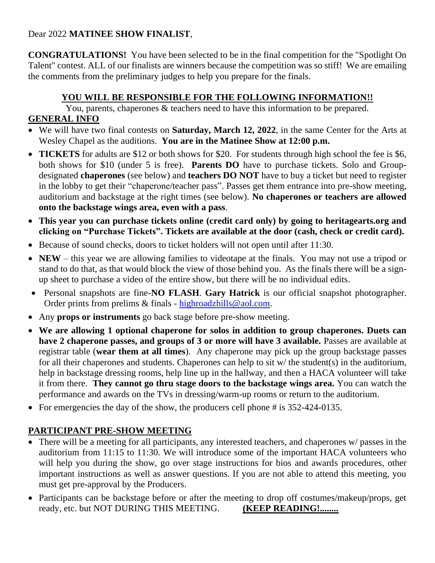### Dear 2022 **MATINEE SHOW FINALIST**,

**CONGRATULATIONS!** You have been selected to be in the final competition for the "Spotlight On Talent" contest. ALL of our finalists are winners because the competition was so stiff! We are emailing the comments from the preliminary judges to help you prepare for the finals.

### **YOU WILL BE RESPONSIBLE FOR THE FOLLOWING INFORMATION!!**

You, parents, chaperones & teachers need to have this information to be prepared.

## **GENERAL INFO**

- We will have two final contests on **Saturday, March 12, 2022**, in the same Center for the Arts at Wesley Chapel as the auditions. **You are in the Matinee Show at 12:00 p.m.**
- **TICKETS** for adults are \$12 or both shows for \$20. For students through high school the fee is \$6, both shows for \$10 (under 5 is free). **Parents DO** have to purchase tickets. Solo and Groupdesignated **chaperones** (see below) and **teachers DO NOT** have to buy a ticket but need to register in the lobby to get their "chaperone/teacher pass". Passes get them entrance into pre-show meeting, auditorium and backstage at the right times (see below). **No chaperones or teachers are allowed onto the backstage wings area, even with a pass**.
- **This year you can purchase tickets online (credit card only) by going to heritagearts.org and clicking on "Purchase Tickets". Tickets are available at the door (cash, check or credit card).**
- Because of sound checks, doors to ticket holders will not open until after 11:30.
- **NEW** this year we are allowing families to videotape at the finals. You may not use a tripod or stand to do that, as that would block the view of those behind you. As the finals there will be a signup sheet to purchase a video of the entire show, but there will be no individual edits.
- Personal snapshots are fine-**NO FLASH**. **Gary Hatrick** is our official snapshot photographer. Order prints from prelims & finals - [highroadzhills@aol.com.](mailto:highroadzhills@aol.com)
- Any **props or instruments** go back stage before pre-show meeting.
- **We are allowing 1 optional chaperone for solos in addition to group chaperones. Duets can have 2 chaperone passes, and groups of 3 or more will have 3 available.** Passes are available at registrar table (**wear them at all times**). Any chaperone may pick up the group backstage passes for all their chaperones and students. Chaperones can help to sit w/ the student(s) in the auditorium, help in backstage dressing rooms, help line up in the hallway, and then a HACA volunteer will take it from there. **They cannot go thru stage doors to the backstage wings area.** You can watch the performance and awards on the TVs in dressing/warm-up rooms or return to the auditorium.
- For emergencies the day of the show, the producers cell phone # is 352-424-0135.

# **PARTICIPANT PRE-SHOW MEETING**

- There will be a meeting for all participants, any interested teachers, and chaperones w/ passes in the auditorium from 11:15 to 11:30. We will introduce some of the important HACA volunteers who will help you during the show, go over stage instructions for bios and awards procedures, other important instructions as well as answer questions. If you are not able to attend this meeting, you must get pre-approval by the Producers.
- Participants can be backstage before or after the meeting to drop off costumes/makeup/props, get ready, etc. but NOT DURING THIS MEETING. **(KEEP READING!........**